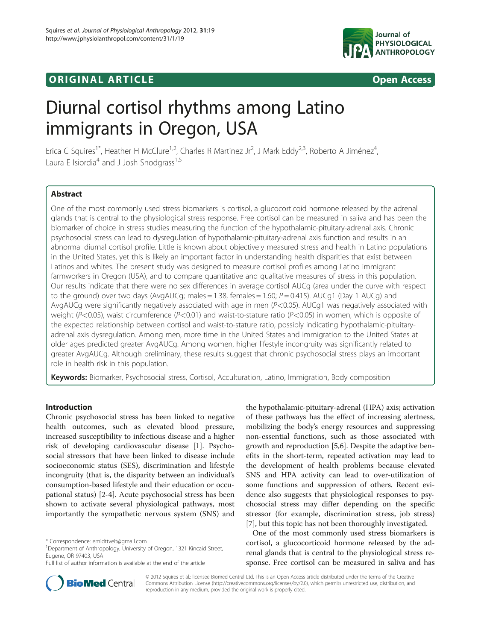## **ORIGINAL ARTICLE CONSERVANCE IN A LOCAL CONSERVANCE IN A LOCAL CONSERVANCE IN A LOCAL CONSERVANCE IN A LOCAL CONS**



# Diurnal cortisol rhythms among Latino immigrants in Oregon, USA

Erica C Squires<sup>1\*</sup>, Heather H McClure<sup>1,2</sup>, Charles R Martinez Jr<sup>2</sup>, J Mark Eddy<sup>2,3</sup>, Roberto A Jiménez<sup>4</sup> , Laura E Isiordia<sup>4</sup> and J Josh Snodgrass<sup>1,5</sup>

## Abstract

One of the most commonly used stress biomarkers is cortisol, a glucocorticoid hormone released by the adrenal glands that is central to the physiological stress response. Free cortisol can be measured in saliva and has been the biomarker of choice in stress studies measuring the function of the hypothalamic-pituitary-adrenal axis. Chronic psychosocial stress can lead to dysregulation of hypothalamic-pituitary-adrenal axis function and results in an abnormal diurnal cortisol profile. Little is known about objectively measured stress and health in Latino populations in the United States, yet this is likely an important factor in understanding health disparities that exist between Latinos and whites. The present study was designed to measure cortisol profiles among Latino immigrant farmworkers in Oregon (USA), and to compare quantitative and qualitative measures of stress in this population. Our results indicate that there were no sex differences in average cortisol AUCg (area under the curve with respect to the ground) over two days (AvgAUCg; males = 1.38, females = 1.60;  $P = 0.415$ ). AUCg1 (Day 1 AUCg) and AvgAUCg were significantly negatively associated with age in men (P<0.05). AUCg1 was negatively associated with weight (P<0.05), waist circumference (P<0.01) and waist-to-stature ratio (P<0.05) in women, which is opposite of the expected relationship between cortisol and waist-to-stature ratio, possibly indicating hypothalamic-pituitaryadrenal axis dysregulation. Among men, more time in the United States and immigration to the United States at older ages predicted greater AvgAUCg. Among women, higher lifestyle incongruity was significantly related to greater AvgAUCg. Although preliminary, these results suggest that chronic psychosocial stress plays an important role in health risk in this population.

Keywords: Biomarker, Psychosocial stress, Cortisol, Acculturation, Latino, Immigration, Body composition

## Introduction

Chronic psychosocial stress has been linked to negative health outcomes, such as elevated blood pressure, increased susceptibility to infectious disease and a higher risk of developing cardiovascular disease [[1\]](#page-7-0). Psychosocial stressors that have been linked to disease include socioeconomic status (SES), discrimination and lifestyle incongruity (that is, the disparity between an individual's consumption-based lifestyle and their education or occupational status) [[2-4](#page-8-0)]. Acute psychosocial stress has been shown to activate several physiological pathways, most importantly the sympathetic nervous system (SNS) and

the hypothalamic-pituitary-adrenal (HPA) axis; activation of these pathways has the effect of increasing alertness, mobilizing the body's energy resources and suppressing non-essential functions, such as those associated with growth and reproduction [[5,6\]](#page-8-0). Despite the adaptive benefits in the short-term, repeated activation may lead to the development of health problems because elevated SNS and HPA activity can lead to over-utilization of some functions and suppression of others. Recent evidence also suggests that physiological responses to psychosocial stress may differ depending on the specific stressor (for example, discrimination stress, job stress) [[7\]](#page-8-0), but this topic has not been thoroughly investigated.

One of the most commonly used stress biomarkers is cortisol, a glucocorticoid hormone released by the adrenal glands that is central to the physiological stress response. Free cortisol can be measured in saliva and has



© 2012 Squires et al.: licensee Biomed Central Ltd. This is an Open Access article distributed under the terms of the Creative Commons Attribution License [\(http://creativecommons.org/licenses/by/2.0\)](http://creativecommons.org/licenses/by/2.0), which permits unrestricted use, distribution, and reproduction in any medium, provided the original work is properly cited.

<sup>\*</sup> Correspondence: [emidttveit@gmail.com](mailto:emidttveit@gmail.com) <sup>1</sup>

<sup>&</sup>lt;sup>1</sup>Department of Anthropology, University of Oregon, 1321 Kincaid Street, Eugene, OR 97403, USA

Full list of author information is available at the end of the article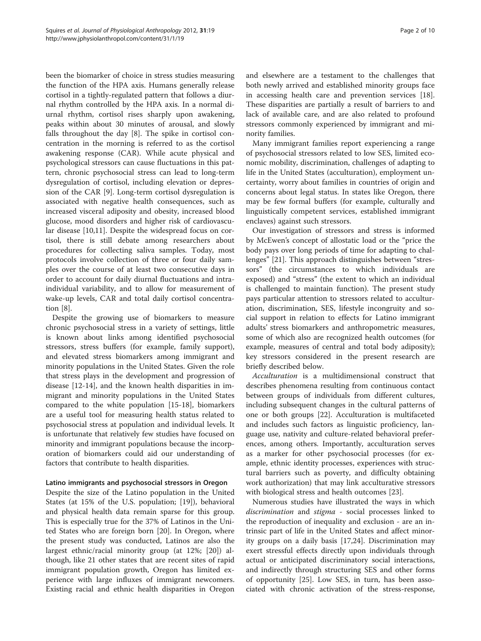been the biomarker of choice in stress studies measuring the function of the HPA axis. Humans generally release cortisol in a tightly-regulated pattern that follows a diurnal rhythm controlled by the HPA axis. In a normal diurnal rhythm, cortisol rises sharply upon awakening, peaks within about 30 minutes of arousal, and slowly falls throughout the day [[8\]](#page-8-0). The spike in cortisol concentration in the morning is referred to as the cortisol awakening response (CAR). While acute physical and psychological stressors can cause fluctuations in this pattern, chronic psychosocial stress can lead to long-term dysregulation of cortisol, including elevation or depression of the CAR [\[9](#page-8-0)]. Long-term cortisol dysregulation is associated with negative health consequences, such as increased visceral adiposity and obesity, increased blood glucose, mood disorders and higher risk of cardiovascular disease [[10,11\]](#page-8-0). Despite the widespread focus on cortisol, there is still debate among researchers about procedures for collecting saliva samples. Today, most protocols involve collection of three or four daily samples over the course of at least two consecutive days in order to account for daily diurnal fluctuations and intraindividual variability, and to allow for measurement of wake-up levels, CAR and total daily cortisol concentration [\[8\]](#page-8-0).

Despite the growing use of biomarkers to measure chronic psychosocial stress in a variety of settings, little is known about links among identified psychosocial stressors, stress buffers (for example, family support), and elevated stress biomarkers among immigrant and minority populations in the United States. Given the role that stress plays in the development and progression of disease [\[12-14](#page-8-0)], and the known health disparities in immigrant and minority populations in the United States compared to the white population [[15](#page-8-0)-[18\]](#page-8-0), biomarkers are a useful tool for measuring health status related to psychosocial stress at population and individual levels. It is unfortunate that relatively few studies have focused on minority and immigrant populations because the incorporation of biomarkers could aid our understanding of factors that contribute to health disparities.

## Latino immigrants and psychosocial stressors in Oregon

Despite the size of the Latino population in the United States (at 15% of the U.S. population; [[19\]](#page-8-0)), behavioral and physical health data remain sparse for this group. This is especially true for the 37% of Latinos in the United States who are foreign born [\[20](#page-8-0)]. In Oregon, where the present study was conducted, Latinos are also the largest ethnic/racial minority group (at 12%; [\[20](#page-8-0)]) although, like 21 other states that are recent sites of rapid immigrant population growth, Oregon has limited experience with large influxes of immigrant newcomers. Existing racial and ethnic health disparities in Oregon

and elsewhere are a testament to the challenges that both newly arrived and established minority groups face in accessing health care and prevention services [\[18](#page-8-0)]. These disparities are partially a result of barriers to and lack of available care, and are also related to profound stressors commonly experienced by immigrant and minority families.

Many immigrant families report experiencing a range of psychosocial stressors related to low SES, limited economic mobility, discrimination, challenges of adapting to life in the United States (acculturation), employment uncertainty, worry about families in countries of origin and concerns about legal status. In states like Oregon, there may be few formal buffers (for example, culturally and linguistically competent services, established immigrant enclaves) against such stressors.

Our investigation of stressors and stress is informed by McEwen's concept of allostatic load or the "price the body pays over long periods of time for adapting to challenges" [[21\]](#page-8-0). This approach distinguishes between "stressors" (the circumstances to which individuals are exposed) and "stress" (the extent to which an individual is challenged to maintain function). The present study pays particular attention to stressors related to acculturation, discrimination, SES, lifestyle incongruity and social support in relation to effects for Latino immigrant adults' stress biomarkers and anthropometric measures, some of which also are recognized health outcomes (for example, measures of central and total body adiposity); key stressors considered in the present research are briefly described below.

Acculturation is a multidimensional construct that describes phenomena resulting from continuous contact between groups of individuals from different cultures, including subsequent changes in the cultural patterns of one or both groups [\[22](#page-8-0)]. Acculturation is multifaceted and includes such factors as linguistic proficiency, language use, nativity and culture-related behavioral preferences, among others. Importantly, acculturation serves as a marker for other psychosocial processes (for example, ethnic identity processes, experiences with structural barriers such as poverty, and difficulty obtaining work authorization) that may link acculturative stressors with biological stress and health outcomes [[23\]](#page-8-0).

Numerous studies have illustrated the ways in which discrimination and stigma - social processes linked to the reproduction of inequality and exclusion - are an intrinsic part of life in the United States and affect minority groups on a daily basis [\[17,24\]](#page-8-0). Discrimination may exert stressful effects directly upon individuals through actual or anticipated discriminatory social interactions, and indirectly through structuring SES and other forms of opportunity [[25](#page-8-0)]. Low SES, in turn, has been associated with chronic activation of the stress-response,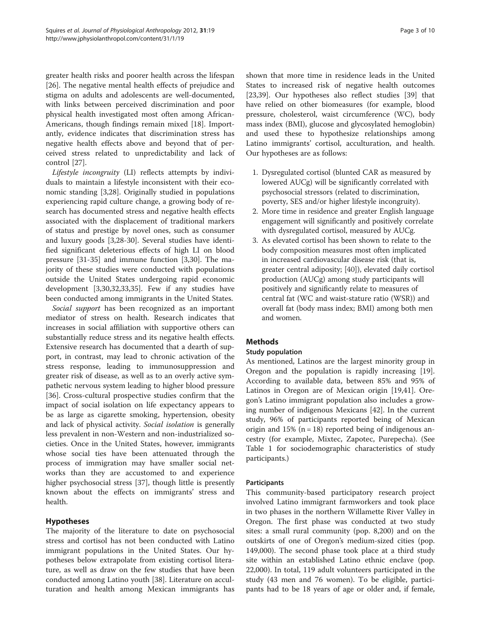greater health risks and poorer health across the lifespan [[26\]](#page-8-0). The negative mental health effects of prejudice and stigma on adults and adolescents are well-documented, with links between perceived discrimination and poor physical health investigated most often among African-Americans, though findings remain mixed [[18\]](#page-8-0). Importantly, evidence indicates that discrimination stress has negative health effects above and beyond that of perceived stress related to unpredictability and lack of control [\[27](#page-8-0)].

Lifestyle incongruity (LI) reflects attempts by individuals to maintain a lifestyle inconsistent with their economic standing [[3](#page-8-0),[28](#page-8-0)]. Originally studied in populations experiencing rapid culture change, a growing body of research has documented stress and negative health effects associated with the displacement of traditional markers of status and prestige by novel ones, such as consumer and luxury goods [[3,28-30\]](#page-8-0). Several studies have identified significant deleterious effects of high LI on blood pressure [\[31](#page-8-0)-[35](#page-8-0)] and immune function [[3,30\]](#page-8-0). The majority of these studies were conducted with populations outside the United States undergoing rapid economic development [[3,30,32,33,35](#page-8-0)]. Few if any studies have been conducted among immigrants in the United States.

Social support has been recognized as an important mediator of stress on health. Research indicates that increases in social affiliation with supportive others can substantially reduce stress and its negative health effects. Extensive research has documented that a dearth of support, in contrast, may lead to chronic activation of the stress response, leading to immunosuppression and greater risk of disease, as well as to an overly active sympathetic nervous system leading to higher blood pressure [[36\]](#page-8-0). Cross-cultural prospective studies confirm that the impact of social isolation on life expectancy appears to be as large as cigarette smoking, hypertension, obesity and lack of physical activity. Social isolation is generally less prevalent in non-Western and non-industrialized societies. Once in the United States, however, immigrants whose social ties have been attenuated through the process of immigration may have smaller social networks than they are accustomed to and experience higher psychosocial stress [\[37](#page-8-0)], though little is presently known about the effects on immigrants' stress and health.

## Hypotheses

The majority of the literature to date on psychosocial stress and cortisol has not been conducted with Latino immigrant populations in the United States. Our hypotheses below extrapolate from existing cortisol literature, as well as draw on the few studies that have been conducted among Latino youth [\[38](#page-8-0)]. Literature on acculturation and health among Mexican immigrants has shown that more time in residence leads in the United States to increased risk of negative health outcomes [[23,39\]](#page-8-0). Our hypotheses also reflect studies [[39\]](#page-8-0) that have relied on other biomeasures (for example, blood pressure, cholesterol, waist circumference (WC), body mass index (BMI), glucose and glycosylated hemoglobin) and used these to hypothesize relationships among Latino immigrants' cortisol, acculturation, and health. Our hypotheses are as follows:

- 1. Dysregulated cortisol (blunted CAR as measured by lowered AUCg) will be significantly correlated with psychosocial stressors (related to discrimination, poverty, SES and/or higher lifestyle incongruity).
- 2. More time in residence and greater English language engagement will significantly and positively correlate with dysregulated cortisol, measured by AUCg.
- 3. As elevated cortisol has been shown to relate to the body composition measures most often implicated in increased cardiovascular disease risk (that is, greater central adiposity; [[40](#page-8-0)]), elevated daily cortisol production (AUCg) among study participants will positively and significantly relate to measures of central fat (WC and waist-stature ratio (WSR)) and overall fat (body mass index; BMI) among both men and women.

## **Methods**

## Study population

As mentioned, Latinos are the largest minority group in Oregon and the population is rapidly increasing [\[19](#page-8-0)]. According to available data, between 85% and 95% of Latinos in Oregon are of Mexican origin [[19,41](#page-8-0)]. Oregon's Latino immigrant population also includes a growing number of indigenous Mexicans [\[42](#page-8-0)]. In the current study, 96% of participants reported being of Mexican origin and  $15\%$  (n = 18) reported being of indigenous ancestry (for example, Mixtec, Zapotec, Purepecha). (See Table [1](#page-3-0) for sociodemographic characteristics of study participants.)

## **Participants**

This community-based participatory research project involved Latino immigrant farmworkers and took place in two phases in the northern Willamette River Valley in Oregon. The first phase was conducted at two study sites: a small rural community (pop. 8,200) and on the outskirts of one of Oregon's medium-sized cities (pop. 149,000). The second phase took place at a third study site within an established Latino ethnic enclave (pop. 22,000). In total, 119 adult volunteers participated in the study (43 men and 76 women). To be eligible, participants had to be 18 years of age or older and, if female,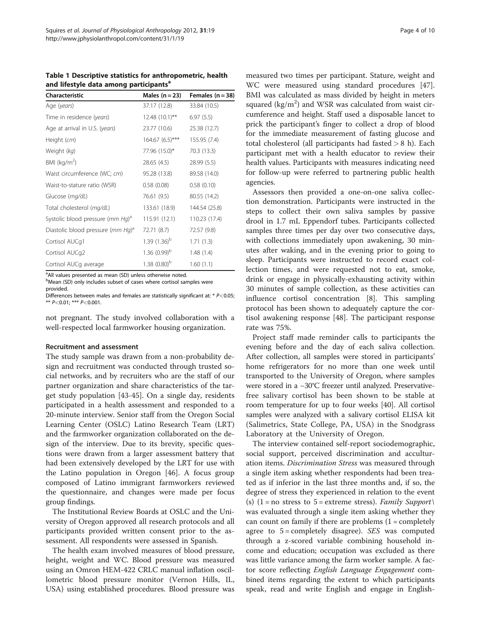<span id="page-3-0"></span>Table 1 Descriptive statistics for anthropometric, health and lifestyle data among participants<sup>a</sup>

| Characteristic                                | Males $(n = 23)$    | Females $(n = 38)$ |
|-----------------------------------------------|---------------------|--------------------|
| Age (years)                                   | 37.17 (12.8)        | 33.84 (10.5)       |
| Time in residence (years)                     | $12.48(10.1)$ **    | 6.97(5.5)          |
| Age at arrival in U.S. (years)                | 23.77 (10.6)        | 25.38 (12.7)       |
| Height (cm)                                   | $164.67(6.5)$ ***   | 155.95 (7.4)       |
| Weight (kg)                                   | 77.96 (15.0)*       | 70.3 (13.3)        |
| BMI ( $kg/m2$ )                               | 28.65 (4.5)         | 28.99 (5.5)        |
| Waist circumference (WC; cm)                  | 95.28 (13.8)        | 89.58 (14.0)       |
| Waist-to-stature ratio (WSR)                  | 0.58(0.08)          | 0.58(0.10)         |
| Glucose (mg/dL)                               | 76.61 (9.5)         | 80.55 (14.2)       |
| Total cholesterol (mg/dL)                     | 133.61 (18.9)       | 144.54 (25.8)      |
| Systolic blood pressure (mm Hq) <sup>a</sup>  | 115.91 (12.1)       | 110.23 (17.4)      |
| Diastolic blood pressure (mm Hq) <sup>d</sup> | 72.71 (8.7)         | 72.57 (9.8)        |
| Cortisol AUCq1                                | $1.39(1.36)^b$      | 1.71(1.3)          |
| Cortisol AUCq2                                | $1.36(0.99)^b$      | 1.48(1.4)          |
| Cortisol AUCq average                         | $1.38$ $(0.80)^{b}$ | 1.60(1.1)          |

<sup>a</sup>All values presented as mean (SD) unless otherwise noted.

<sup>b</sup>Mean (SD) only includes subset of cases where cortisol samples were provided.

Differences between males and females are statistically significant at:  $* P < 0.05$ ; \*\*  $P < 0.01$ ; \*\*\*  $P < 0.001$ .

not pregnant. The study involved collaboration with a well-respected local farmworker housing organization.

## Recruitment and assessment

The study sample was drawn from a non-probability design and recruitment was conducted through trusted social networks, and by recruiters who are the staff of our partner organization and share characteristics of the target study population [\[43](#page-8-0)-[45\]](#page-8-0). On a single day, residents participated in a health assessment and responded to a 20-minute interview. Senior staff from the Oregon Social Learning Center (OSLC) Latino Research Team (LRT) and the farmworker organization collaborated on the design of the interview. Due to its brevity, specific questions were drawn from a larger assessment battery that had been extensively developed by the LRT for use with the Latino population in Oregon [[46](#page-8-0)]. A focus group composed of Latino immigrant farmworkers reviewed the questionnaire, and changes were made per focus group findings.

The Institutional Review Boards at OSLC and the University of Oregon approved all research protocols and all participants provided written consent prior to the assessment. All respondents were assessed in Spanish.

The health exam involved measures of blood pressure, height, weight and WC. Blood pressure was measured using an Omron HEM-422 CRLC manual inflation oscillometric blood pressure monitor (Vernon Hills, IL, USA) using established procedures. Blood pressure was

measured two times per participant. Stature, weight and WC were measured using standard procedures [\[47](#page-8-0)]. BMI was calculated as mass divided by height in meters squared  $(kg/m^2)$  and WSR was calculated from waist circumference and height. Staff used a disposable lancet to prick the participant's finger to collect a drop of blood for the immediate measurement of fasting glucose and total cholesterol (all participants had fasted  $> 8$  h). Each participant met with a health educator to review their health values. Participants with measures indicating need for follow-up were referred to partnering public health agencies.

Assessors then provided a one-on-one saliva collection demonstration. Participants were instructed in the steps to collect their own saliva samples by passive drool in 1.7 mL Eppendorf tubes. Participants collected samples three times per day over two consecutive days, with collections immediately upon awakening, 30 minutes after waking, and in the evening prior to going to sleep. Participants were instructed to record exact collection times, and were requested not to eat, smoke, drink or engage in physically-exhausting activity within 30 minutes of sample collection, as these activities can influence cortisol concentration [[8\]](#page-8-0). This sampling protocol has been shown to adequately capture the cortisol awakening response [[48](#page-8-0)]. The participant response rate was 75%.

Project staff made reminder calls to participants the evening before and the day of each saliva collection. After collection, all samples were stored in participants' home refrigerators for no more than one week until transported to the University of Oregon, where samples were stored in a −30°C freezer until analyzed. Preservativefree salivary cortisol has been shown to be stable at room temperature for up to four weeks [[40](#page-8-0)]. All cortisol samples were analyzed with a salivary cortisol ELISA kit (Salimetrics, State College, PA, USA) in the Snodgrass Laboratory at the University of Oregon.

The interview contained self-report sociodemographic, social support, perceived discrimination and acculturation items. Discrimination Stress was measured through a single item asking whether respondents had been treated as if inferior in the last three months and, if so, the degree of stress they experienced in relation to the event (s)  $(1 = no \text{ stress to } 5 = \text{extreme stress})$ . Family Support was evaluated through a single item asking whether they can count on family if there are problems  $(1 = \text{completely})$ agree to  $5 =$  completely disagree). SES was computed through a z-scored variable combining household income and education; occupation was excluded as there was little variance among the farm worker sample. A factor score reflecting English Language Engagement combined items regarding the extent to which participants speak, read and write English and engage in English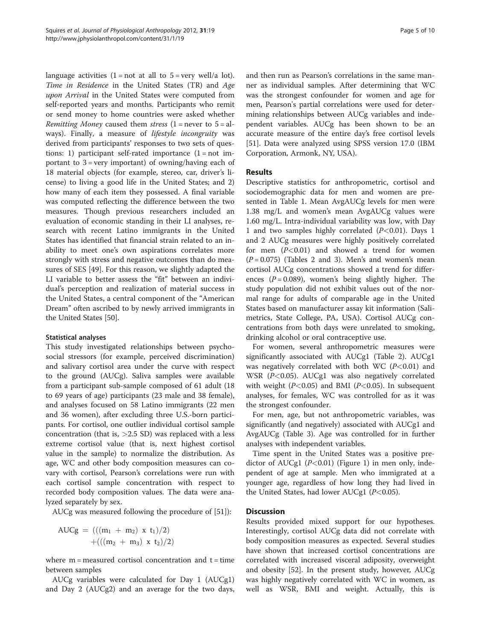language activities  $(1 = not at all to 5 = very well/a lot)$ . Time in Residence in the United States (TR) and Age upon Arrival in the United States were computed from self-reported years and months. Participants who remit or send money to home countries were asked whether *Remitting Money* caused them *stress*  $(1 = never to 5 = al$ ways). Finally, a measure of *lifestyle incongruity* was derived from participants' responses to two sets of questions: 1) participant self-rated importance  $(1 = not$  important to 3 = very important) of owning/having each of 18 material objects (for example, stereo, car, driver's license) to living a good life in the United States; and 2) how many of each item they possessed. A final variable was computed reflecting the difference between the two measures. Though previous researchers included an evaluation of economic standing in their LI analyses, research with recent Latino immigrants in the United States has identified that financial strain related to an inability to meet one's own aspirations correlates more strongly with stress and negative outcomes than do measures of SES [[49\]](#page-8-0). For this reason, we slightly adapted the LI variable to better assess the "fit" between an individual's perception and realization of material success in the United States, a central component of the "American Dream" often ascribed to by newly arrived immigrants in the United States [[50](#page-8-0)].

#### Statistical analyses

This study investigated relationships between psychosocial stressors (for example, perceived discrimination) and salivary cortisol area under the curve with respect to the ground (AUCg). Saliva samples were available from a participant sub-sample composed of 61 adult (18 to 69 years of age) participants (23 male and 38 female), and analyses focused on 58 Latino immigrants (22 men and 36 women), after excluding three U.S.-born participants. For cortisol, one outlier individual cortisol sample concentration (that is,  $>2.5$  SD) was replaced with a less extreme cortisol value (that is, next highest cortisol value in the sample) to normalize the distribution. As age, WC and other body composition measures can covary with cortisol, Pearson's correlations were run with each cortisol sample concentration with respect to recorded body composition values. The data were analyzed separately by sex.

AUCg was measured following the procedure of [\[51](#page-8-0)]):

AUCg = 
$$
((m_1 + m_2) \times t_1)/2)
$$
  
 +  $((m_2 + m_3) \times t_2)/2)$ 

where  $m =$  measured cortisol concentration and  $t =$  time between samples

AUCg variables were calculated for Day 1 (AUCg1) and Day 2 (AUCg2) and an average for the two days,

and then run as Pearson's correlations in the same manner as individual samples. After determining that WC was the strongest confounder for women and age for men, Pearson's partial correlations were used for determining relationships between AUCg variables and independent variables. AUCg has been shown to be an accurate measure of the entire day's free cortisol levels [[51\]](#page-8-0). Data were analyzed using SPSS version 17.0 (IBM Corporation, Armonk, NY, USA).

## Results

Descriptive statistics for anthropometric, cortisol and sociodemographic data for men and women are presented in Table [1.](#page-3-0) Mean AvgAUCg levels for men were 1.38 mg/L and women's mean AvgAUCg values were 1.60 mg/L. Intra-individual variability was low, with Day 1 and two samples highly correlated  $(P<0.01)$ . Days 1 and 2 AUCg measures were highly positively correlated for men  $(P<0.01)$  and showed a trend for women  $(P = 0.075)$  (Tables [2](#page-5-0) and [3](#page-5-0)). Men's and women's mean cortisol AUCg concentrations showed a trend for differences  $(P = 0.089)$ , women's being slightly higher. The study population did not exhibit values out of the normal range for adults of comparable age in the United States based on manufacturer assay kit information (Salimetrics, State College, PA, USA). Cortisol AUCg concentrations from both days were unrelated to smoking, drinking alcohol or oral contraceptive use.

For women, several anthropometric measures were significantly associated with AUCg1 (Table [2](#page-5-0)). AUCg1 was negatively correlated with both WC  $(P<0.01)$  and WSR (P<0.05). AUCg1 was also negatively correlated with weight  $(P<0.05)$  and BMI  $(P<0.05)$ . In subsequent analyses, for females, WC was controlled for as it was the strongest confounder.

For men, age, but not anthropometric variables, was significantly (and negatively) associated with AUCg1 and AvgAUCg (Table [3](#page-5-0)). Age was controlled for in further analyses with independent variables.

Time spent in the United States was a positive predictor of AUCg1  $(P<0.01)$  (Figure [1\)](#page-6-0) in men only, independent of age at sample. Men who immigrated at a younger age, regardless of how long they had lived in the United States, had lower  $\text{AUCg1}$  ( $P<0.05$ ).

## **Discussion**

Results provided mixed support for our hypotheses. Interestingly, cortisol AUCg data did not correlate with body composition measures as expected. Several studies have shown that increased cortisol concentrations are correlated with increased visceral adiposity, overweight and obesity [\[52](#page-8-0)]. In the present study, however, AUCg was highly negatively correlated with WC in women, as well as WSR, BMI and weight. Actually, this is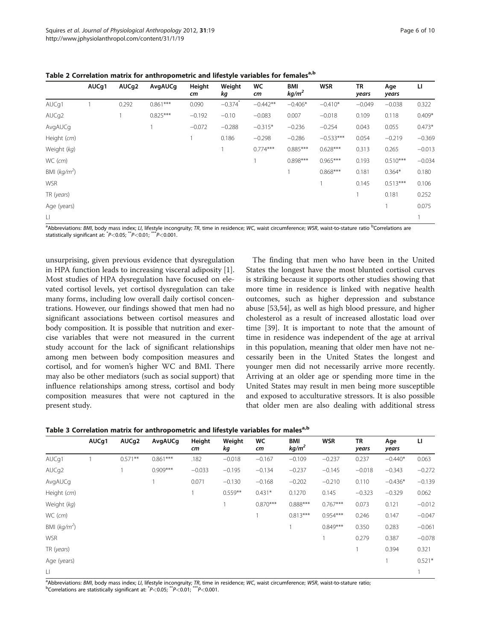|                | AUCq1 | AUCg <sub>2</sub> | AvgAUCg    | Height<br>cm | Weight<br>kg          | WC<br>cm   | <b>BMI</b><br>$kq/m^2$ | <b>WSR</b>  | <b>TR</b><br>years | Age<br>years | Ц        |
|----------------|-------|-------------------|------------|--------------|-----------------------|------------|------------------------|-------------|--------------------|--------------|----------|
| AUCq1          |       | 0.292             | $0.861***$ | 0.090        | $-0.374$ <sup>*</sup> | $-0.442**$ | $-0.406*$              | $-0.410*$   | $-0.049$           | $-0.038$     | 0.322    |
| AUCg2          |       |                   | $0.825***$ | $-0.192$     | $-0.10$               | $-0.083$   | 0.007                  | $-0.018$    | 0.109              | 0.118        | $0.409*$ |
| AvgAUCg        |       |                   |            | $-0.072$     | $-0.288$              | $-0.315*$  | $-0.236$               | $-0.254$    | 0.043              | 0.055        | $0.473*$ |
| Height (cm)    |       |                   |            |              | 0.186                 | $-0.298$   | $-0.286$               | $-0.533***$ | 0.054              | $-0.219$     | $-0.369$ |
| Weight (kg)    |       |                   |            |              |                       | $0.774***$ | $0.885***$             | $0.628***$  | 0.313              | 0.265        | $-0.013$ |
| $WC$ ( $cm$ )  |       |                   |            |              |                       |            | $0.898***$             | $0.965***$  | 0.193              | $0.510***$   | $-0.034$ |
| BMI $(kq/m^2)$ |       |                   |            |              |                       |            |                        | $0.868***$  | 0.181              | $0.364*$     | 0.180    |
| <b>WSR</b>     |       |                   |            |              |                       |            |                        |             | 0.145              | $0.513***$   | 0.106    |
| TR (years)     |       |                   |            |              |                       |            |                        |             |                    | 0.181        | 0.252    |
| Age (years)    |       |                   |            |              |                       |            |                        |             |                    |              | 0.075    |
| П              |       |                   |            |              |                       |            |                        |             |                    |              |          |

<span id="page-5-0"></span>Table 2 Correlation matrix for anthropometric and lifestyle variables for females<sup>a,b</sup>

a<br>Abbreviations: BMI, body mass index; LI, lifestyle incongruity; TR, time in residence; WC, waist circumference; WSR, waist-to-stature ratio <sup>b</sup>Correlations are<br>statistically significant at: "P<0.05; ""P<0.01; ""P<0.001 statistically significant at:  $\sqrt[*]{P}$  < 0.05;  $\sqrt[**]{P}$  < 0.01;  $\sqrt[**]{P}$  < 0.001.

unsurprising, given previous evidence that dysregulation in HPA function leads to increasing visceral adiposity [\[1](#page-7-0)]. Most studies of HPA dysregulation have focused on elevated cortisol levels, yet cortisol dysregulation can take many forms, including low overall daily cortisol concentrations. However, our findings showed that men had no significant associations between cortisol measures and body composition. It is possible that nutrition and exercise variables that were not measured in the current study account for the lack of significant relationships among men between body composition measures and cortisol, and for women's higher WC and BMI. There may also be other mediators (such as social support) that influence relationships among stress, cortisol and body composition measures that were not captured in the present study.

The finding that men who have been in the United States the longest have the most blunted cortisol curves is striking because it supports other studies showing that more time in residence is linked with negative health outcomes, such as higher depression and substance abuse [\[53](#page-8-0)[,54\]](#page-9-0), as well as high blood pressure, and higher cholesterol as a result of increased allostatic load over time [\[39\]](#page-8-0). It is important to note that the amount of time in residence was independent of the age at arrival in this population, meaning that older men have not necessarily been in the United States the longest and younger men did not necessarily arrive more recently. Arriving at an older age or spending more time in the United States may result in men being more susceptible and exposed to acculturative stressors. It is also possible that older men are also dealing with additional stress

Table 3 Correlation matrix for anthropometric and lifestyle variables for males<sup>a,b</sup>

|                | AUC <sub>q1</sub> | AUC <sub>g2</sub> | AvgAUCg    | Height<br>cm | Weight<br>kg | WC<br>сm   | BMI<br>kg/m <sup>2</sup> | <b>WSR</b> | TR<br>years | Age<br>years | Ц        |
|----------------|-------------------|-------------------|------------|--------------|--------------|------------|--------------------------|------------|-------------|--------------|----------|
| AUCq1          |                   | $0.571**$         | $0.861***$ | .182         | $-0.018$     | $-0.167$   | $-0.109$                 | $-0.237$   | 0.237       | $-0.440*$    | 0.063    |
| AUCg2          |                   |                   | $0.909***$ | $-0.033$     | $-0.195$     | $-0.134$   | $-0.237$                 | $-0.145$   | $-0.018$    | $-0.343$     | $-0.272$ |
| AvgAUCq        |                   |                   |            | 0.071        | $-0.130$     | $-0.168$   | $-0.202$                 | $-0.210$   | 0.110       | $-0.436*$    | $-0.139$ |
| Height (cm)    |                   |                   |            |              | $0.559**$    | $0.431*$   | 0.1270                   | 0.145      | $-0.323$    | $-0.329$     | 0.062    |
| Weight (kg)    |                   |                   |            |              |              | $0.870***$ | $0.888***$               | $0.767***$ | 0.073       | 0.121        | $-0.012$ |
| $WC$ ( $cm$ )  |                   |                   |            |              |              |            | $0.813***$               | $0.954***$ | 0.246       | 0.147        | $-0.047$ |
| BMI $(kq/m^2)$ |                   |                   |            |              |              |            |                          | $0.849***$ | 0.350       | 0.283        | $-0.061$ |
| <b>WSR</b>     |                   |                   |            |              |              |            |                          |            | 0.279       | 0.387        | $-0.078$ |
| TR (years)     |                   |                   |            |              |              |            |                          |            |             | 0.394        | 0.321    |
| Age (years)    |                   |                   |            |              |              |            |                          |            |             |              | $0.521*$ |
| $\Box$         |                   |                   |            |              |              |            |                          |            |             |              |          |

a<br>Abbreviations: BMI, body mass index; LI, lifestyle incongruity; TR, time in residence; WC, waist circumference; WSR, waist-to-stature ratio;<br>PCorrelations are statistically significant at \*P/0.05; \*\*P/0.01; \*\*\*P/0.001 Correlations are statistically significant at:  $\binom{P}{0.05}$ ;  $\binom{N}{P}{0.01}$ ;  $\binom{N}{1}$  <0.001.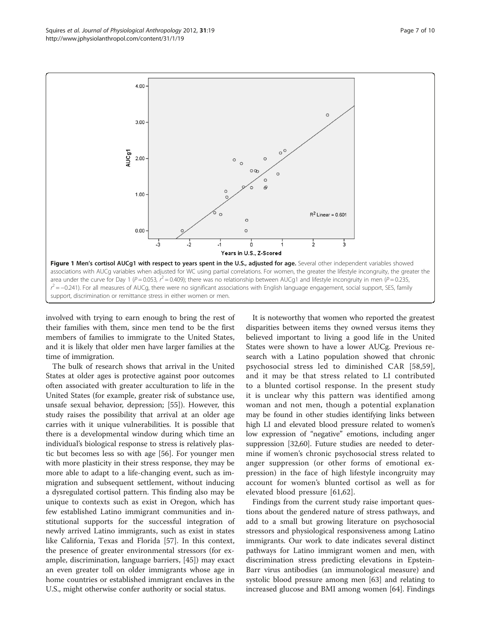involved with trying to earn enough to bring the rest of their families with them, since men tend to be the first members of families to immigrate to the United States, and it is likely that older men have larger families at the time of immigration.

The bulk of research shows that arrival in the United States at older ages is protective against poor outcomes often associated with greater acculturation to life in the United States (for example, greater risk of substance use, unsafe sexual behavior, depression; [[55\]](#page-9-0)). However, this study raises the possibility that arrival at an older age carries with it unique vulnerabilities. It is possible that there is a developmental window during which time an individual's biological response to stress is relatively plastic but becomes less so with age [\[56](#page-9-0)]. For younger men with more plasticity in their stress response, they may be more able to adapt to a life-changing event, such as immigration and subsequent settlement, without inducing a dysregulated cortisol pattern. This finding also may be unique to contexts such as exist in Oregon, which has few established Latino immigrant communities and institutional supports for the successful integration of newly arrived Latino immigrants, such as exist in states like California, Texas and Florida [[57\]](#page-9-0). In this context, the presence of greater environmental stressors (for example, discrimination, language barriers, [[45\]](#page-8-0)) may exact an even greater toll on older immigrants whose age in home countries or established immigrant enclaves in the U.S., might otherwise confer authority or social status.

It is noteworthy that women who reported the greatest disparities between items they owned versus items they believed important to living a good life in the United States were shown to have a lower AUCg. Previous research with a Latino population showed that chronic psychosocial stress led to diminished CAR [\[58,59](#page-9-0)], and it may be that stress related to LI contributed to a blunted cortisol response. In the present study it is unclear why this pattern was identified among woman and not men, though a potential explanation may be found in other studies identifying links between high LI and elevated blood pressure related to women's low expression of "negative" emotions, including anger suppression [\[32](#page-8-0)[,60\]](#page-9-0). Future studies are needed to determine if women's chronic psychosocial stress related to anger suppression (or other forms of emotional expression) in the face of high lifestyle incongruity may account for women's blunted cortisol as well as for elevated blood pressure [[61,62](#page-9-0)].

Findings from the current study raise important questions about the gendered nature of stress pathways, and add to a small but growing literature on psychosocial stressors and physiological responsiveness among Latino immigrants. Our work to date indicates several distinct pathways for Latino immigrant women and men, with discrimination stress predicting elevations in Epstein-Barr virus antibodies (an immunological measure) and systolic blood pressure among men [[63\]](#page-9-0) and relating to increased glucose and BMI among women [[64](#page-9-0)]. Findings

<span id="page-6-0"></span>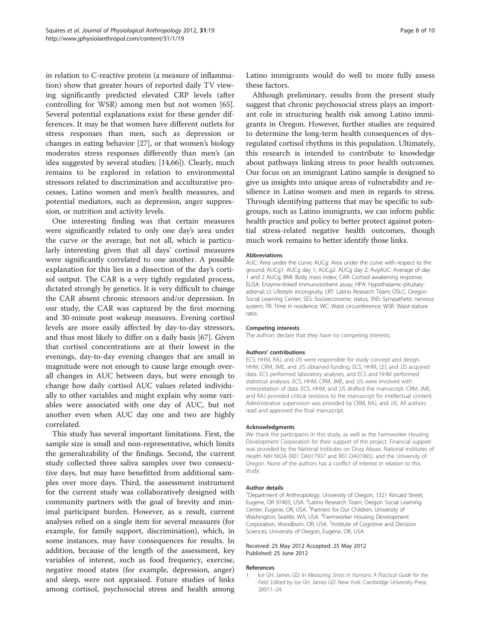<span id="page-7-0"></span>in relation to C-reactive protein (a measure of inflammation) show that greater hours of reported daily TV viewing significantly predicted elevated CRP levels (after controlling for WSR) among men but not women [\[65](#page-9-0)]. Several potential explanations exist for these gender differences. It may be that women have different outlets for stress responses than men, such as depression or changes in eating behavior [[27\]](#page-8-0), or that women's biology moderates stress responses differently than men's (an idea suggested by several studies; [[14,](#page-8-0)[66\]](#page-9-0)). Clearly, much remains to be explored in relation to environmental stressors related to discrimination and acculturative processes, Latino women and men's health measures, and potential mediators, such as depression, anger suppression, or nutrition and activity levels.

One interesting finding was that certain measures were significantly related to only one day's area under the curve or the average, but not all, which is particularly interesting given that all days' cortisol measures were significantly correlated to one another. A possible explanation for this lies in a dissection of the day's cortisol output. The CAR is a very tightly regulated process, dictated strongly by genetics. It is very difficult to change the CAR absent chronic stressors and/or depression. In our study, the CAR was captured by the first morning and 30-minute post wakeup measures. Evening cortisol levels are more easily affected by day-to-day stressors, and thus most likely to differ on a daily basis [\[67](#page-9-0)]. Given that cortisol concentrations are at their lowest in the evenings, day-to-day evening changes that are small in magnitude were not enough to cause large enough overall changes in AUC between days, but were enough to change how daily cortisol AUC values related individually to other variables and might explain why some variables were associated with one day of AUC, but not another even when AUC day one and two are highly correlated.

This study has several important limitations. First, the sample size is small and non-representative, which limits the generalizability of the findings. Second, the current study collected three saliva samples over two consecutive days, but may have benefitted from additional samples over more days. Third, the assessment instrument for the current study was collaboratively designed with community partners with the goal of brevity and minimal participant burden. However, as a result, current analyses relied on a single item for several measures (for example, for family support, discrimination), which, in some instances, may have consequences for results. In addition, because of the length of the assessment, key variables of interest, such as food frequency, exercise, negative mood states (for example, depression, anger) and sleep, were not appraised. Future studies of links among cortisol, psychosocial stress and health among Latino immigrants would do well to more fully assess these factors.

Although preliminary, results from the present study suggest that chronic psychosocial stress plays an important role in structuring health risk among Latino immigrants in Oregon. However, further studies are required to determine the long-term health consequences of dysregulated cortisol rhythms in this population. Ultimately, this research is intended to contribute to knowledge about pathways linking stress to poor health outcomes. Our focus on an immigrant Latino sample is designed to give us insights into unique areas of vulnerability and resilience in Latino women and men in regards to stress. Through identifying patterns that may be specific to subgroups, such as Latino immigrants, we can inform public health practice and policy to better protect against potential stress-related negative health outcomes, though much work remains to better identify those links.

#### Abbreviations

AUC: Area under the curve; AUCg: Area under the curve with respect to the ground; AUCg1: AUCg day 1; AUCg2: AUCg day 2; AvgAUC: Average of day 1 and 2 AUCg; BMI: Body mass index; CAR: Cortisol awakening response; ELISA: Enzyme-linked immunosorbent assay; HPA: Hypothalamic-pituitaryadrenal; LI: Lifestyle incongruity; LRT: Latino Research Team; OSLC: Oregon Social Learning Center; SES: Socioeconomic status; SNS: Sympathetic nervous system; TR: Time in residence; WC: Waist circumference; WSR: Waist-stature ratio.

#### Competing interests

The authors declare that they have no competing interests.

#### Authors' contributions

ECS, HHM, RAJ, and JJS were responsible for study concept and design. HHM, CRM, JME, and JJS obtained funding. ECS, HHM, LEI, and JJS acquired data. ECS performed laboratory analyses, and ECS and HHM performed statistical analyses. ECS, HHM, CRM, JME, and JJS were involved with interpretation of data. ECS, HHM, and JJS drafted the manuscript. CRM, JME, and RAJ provided critical revisions to the manuscript for intellectual content. Administrative supervision was provided by CRM, RAJ, and JJS. All authors read and approved the final manuscript.

#### Acknowledgments

We thank the participants in this study, as well as the Farmworker Housing Development Corporation for their support of the project. Financial support was provided by the National Institutes on Drug Abuse, National Institutes of Health NIH NIDA (R01 DA017937 and R01 DA01965), and the University of Oregon. None of the authors has a conflict of interest in relation to this study.

#### Author details

<sup>1</sup>Department of Anthropology, University of Oregon, 1321 Kincaid Street, Eugene, OR 97403, USA. <sup>2</sup> Latino Research Team, Oregon Social Learning Center, Eugene, OR, USA. <sup>3</sup>Partners for Our Children, University of Washington, Seattle, WA, USA. <sup>4</sup>Farmworker Housing Development Corporation, Woodburn, OR, USA. <sup>5</sup>Institute of Cognitive and Decision Sciences, University of Oregon, Eugene, OR, USA.

#### Received: 25 May 2012 Accepted: 25 May 2012 Published: 25 June 2012

#### References

1. Ice GH, James GD: In Measuring Stress in Humans: A Practical Guide for the Field. Edited by Ice GH, James GD. New York: Cambridge University Press; 2007:1–24.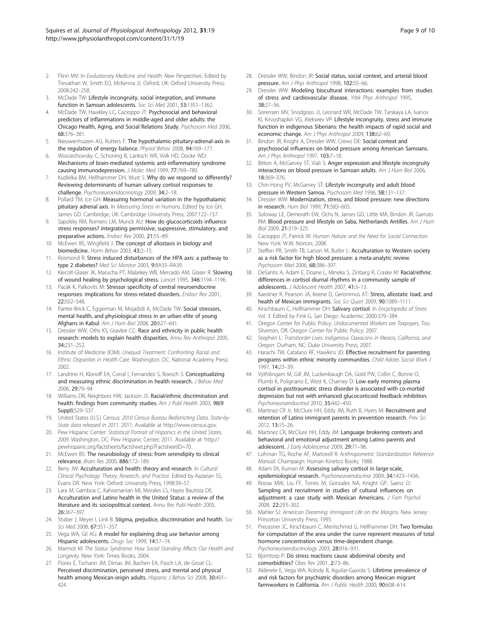- <span id="page-8-0"></span>2. Flinn MV: In Evolutionary Medicine and Health: New Perspectives. Edited by Trevathan W, Smith EO, McKenna JJ. Oxford, UK: Oxford University Press; 2008:242–258.
- 3. McDade TW: Lifestyle incongruity, social integration, and immune function in Samoan adolescents. Soc Sci Med 2001, 53:1351–1362.
- 4. McDade TW, Hawkley LC, Cacioppo JT: Psychosocial and behavioral predictors of inflammations in middle-aged and older adults: the Chicago Health, Aging, and Social Relations Study. Psychosom Med 2006, 68:376–381.
- Nieuwenhuizen AG, Rutters F: The hypothalamic-pituitary-adrenal-axis in the regulation of energy balance. Physiol Behav 2008, 94:169–177.
- 6. Woiciechowsky C, Schoning B, Lanksch WR, Volk HD, Docke WD: Mechanisms of brain-mediated systemic anti-inflammatory syndrome causing immunodepression. J Molec Med 1999, 77:769–780.
- 7. Kudielka BM, Hellhammer DH, Wust S: Why do we respond so differently? Reviewing determinants of human salivary cortisol responses to challenge. Psychoneuroendocrinology 2009, 34:2–18.
- 8. Pollard TM, Ice GH: Measuring hormonal variation in the hypothalamic pituitary adrenal axis. In Measuring Stress in Humans. Edited by Ice GH, James GD. Cambridge, UK: Cambridge University Press; 2007:122–157.
- 9. Sapolsky RM, Romero LM, Munck AU: How do glucocorticoids influence stress responses? integrating permissive, suppressive, stimulatory, and preparative actions. Endocr Rev 2000, 21:55–89.
- 10. McEwen BS, Wingfield J: The concept of allostasis in biology and biomedicine. Horm Behav 2003, 43:2-15.
- 11. Rosmond R: Stress induced disturbances of the HPA axis: a pathway to type 2 diabetes? Med Sci Monitor 2003, 9:RA35–RA39.
- 12. Kiecolt-Glaser JK, Marucha PT, Malarkey WB, Mercado AM, Glaser R: Slowing of wound healing by psychological stress. Lancet 1995, 346:1194–1196.
- 13. Pacák K, Palkovits M: Stressor specificity of central neuroendocrine responses: implications for stress-related disorders. Endocr Rev 2001, 22:502–548.
- 14. Panter-Brick C, Eggerman M, Mojadidi A, McDade TW: Social stressors, mental health, and physiological stress in an urban elite of young Afghans in Kabul. Am J Hum Biol 2008, 20:627–641.
- 15. Dressler WW, Oths KS, Gravlee CC: Race and ethnicity in public health research: models to explain health disparities. Annu Rev Anthropol 2005,  $34.731 - 252$
- 16. Institute of Medicine (IOM): Unequal Treatment: Confronting Racial and Ethnic Disparities in Health Care. Washington, DC: National Academy Press; 2002.
- 17. Landrine H, Klonoff EA, Corral I, Fernandez S, Roesch S: Conceptualizing and measuring ethnic discrimination in health research. J Behav Med 2006, 29:79–94.
- 18. Williams DR, Neighbors HW, Jackson JS: Racial/ethnic discrimination and health: findings from community studies. Am J Publ Health 2003, 98(9 Suppl):S29–S37.
- 19. United States (U.S.) Census: 2010 Census Bureau Redistricting Data. State-by-State data released in 2011. 2011. Available at [http://www.census.gov.](http://www.census.gov)
- 20. Pew Hispanic Center: Statistical Portrait of Hispanics in the United States, 2009. Washington, DC: Pew Hispanic Center; 2011. Available at: [http://](http://pewhispanic.org/factsheets/factsheet.php?FactsheetID=70) [pewhispanic.org/factsheets/factsheet.php?FactsheetID=70.](http://pewhispanic.org/factsheets/factsheet.php?FactsheetID=70)
- 21. McEwen BS: The neurobiology of stress: from serendipity to clinical relevance. Brain Res 2000, 886:172–189.
- 22. Berry JW: Acculturation and health: theory and research. In Cultural Clinical Psychology: Theory, Research, and Practice. Edited by Kazarian SS, Evans DR. New York: Oxford: University Press; 1998:39–57.
- 23. Lara M, Gamboa C, Kahramanian MI, Morales LS, Hayes Bautista DE: Acculturation and Latino health in the United Status: a review of the literature and its sociopolitical context. Annu Rev Publ Health 2005, 26:367–397.
- 24. Stuber J, Meyer I, Link B: Stigma, prejudice, discrimination and health. Soc Sci Med 2008, 67:351–357.
- 25. Vega WA, Gil AG: A model for explaining drug use behavior among Hispanic adolescents. Drugs Soc 1999, 14:57–74.
- 26. Marmot M: The Status Syndrome: How Social Standing Affects Our Health and Longevity. New York: Times Books; 2004.
- 27. Flores E, Tschann JM, Dimas JM, Bachen EA, Pasch LA, de Groat CL: Perceived discrimination, perceived stress, and mental and physical health among Mexican-origin adults. Hispanic J Behav Sci 2008, 30:401-424.
- 28. Dressler WW, Bindon JR: Social status, social context, and arterial blood pressure. Am J Phys Anthropol 1998, 102:55–66.
- 29. Dressler WW: Modeling biocultural interactions: examples from studies of stress and cardiovascular disease. Yrbk Phys Anthropol 1995, 38:27–56.
- 30. Sorensen MV, Snodgrass JJ, Leonard WR, McDade TW, Tarskaya LA, Ivanov KI, Krivoshapkin VG, Alekseev VP: Lifestyle incongruity, stress and immune function in indigenous Siberians: the health impacts of rapid social and economic change. Am J Phys Anthropol 2009, 138:62–69.
- 31. Bindon JR, Knight A, Dressler WW, Crews DE: Social context and psychosocial influences on blood pressure among American Samoans. Am J Phys Anthropol 1997, 103:7-18.
- 32. Bitton A, McGarvey ST, Viali S: Anger expression and lifestyle incongruity interactions on blood pressure in Samoan adults. Am J Hum Biol 2006, 18:369–376.
- 33. Chin-Hong PV, McGarvey ST: Lifestyle incongruity and adult blood pressure in Western Samoa. Psychosom Med 1996, 58:131–137.
- 34. Dressler WW: Modernization, stress, and blood pressure: new directions in research. Hum Biol 1999, 71:583–605.
- 35. Soloway LE, Demerath EW, Ochs N, James GD, Little MA, Bindon JR, Garruto RM: Blood pressure and lifestyle on Saba, Netherlands Antilles. Am J Hum Biol 2009, 21:319–325.
- 36. Cacioppo JT, Patrick W: Human Nature and the Need for Social Connection. New York: W.W. Norton; 2008.
- 37. Steffen PR, Smith TB, Larson M, Butler L: Acculturation to Western society as a risk factor for high blood pressure: a meta-analytic review. Psychosom Med 2006, 68:386–397.
- 38. DeSantis A, Adam E, Doane L, Mineka S, Zinbarg R, Craske M: Racial/ethnic differences in cortisol diurnal rhythms in a community sample of adolescents. J Adolescent Health 2007, 41:3–13.
- 39. Kaestner R, Pearson JA, Keene D, Geronimus AT: Stress, allostatic load, and health of Mexican immigrants. Soc Sci Quart 2009, 90:1089-1111.
- 40. Kirschbaum C, Hellhammer DH: Salivary cortisol. In Encyclopedia of Stress Vol. 3. Edited by Fink G. San Diego: Academic; 2000:379–384.
- 41. Oregon Center for Public Policy: Undocumented Workers are Taxpayers, Too. Silverton, OR: Oregon Center for Public Policy; 2007.
- 42. Stephen L: Transborder Lives: Indigenous Oaxacans in Mexico, California, and Oregon. Durham, NC: Duke University Press; 2007.
- 43. Harachi TW, Catalano RF, Hawkins JD: Effective recruitment for parenting programs within ethnic minority communities. Child Adoles Social Work J 1997, 14:23–39.
- 44. Vythilingam M, Gill JM, Luckenbaugh DA, Gold PW, Collin C, Bonne O, Plumb K, Polignano E, West K, Charney D: Low early morning plasma cortisol in posttraumatic stress disorder is associated with co-morbid depression but not with enhanced glucocorticoid feedback inhibition. Psychoneuroendocrinol 2010, 35:442–450.
- 45. Martinez CR Jr, McClure HH, Eddy JM, Ruth B, Hyers M: Recruitment and retention of Latino immigrant parents in prevention research. Prev Sci 2012, 13:15–26.
- 46. Martinez CR, McClure HH, Eddy JM: Language brokering contexts and behavioral and emotional adjustment among Latino parents and adolescent. J Early Adolescence 2009, 29:71-98.
- 47. Lohman TG, Roche AF, Martorell R: Anthropometric Standardization Reference Manual. Champaign: Human Kinetics Books; 1988.
- 48. Adam EK, Kumari M: Assessing salivary cortisol in large-scale, epidemiological research. Psychoneuroendocrino 2009, 34:1423–1436. 49. Roosa MW, Liu FF, Torres M, Gonzales NA, Knight GP, Saenz D:
- Sampling and recruitment in studies of cultural influences on adjustment: a case study with Mexican Americans. J Fam Psychol 2008, 22:293–302.
- 50. Mahler SJ: American Dreaming: Immigrant Life on the Margins. New Jersey: Princeton University Press; 1995.
- 51. Preussner JC, Kirschbaum C, Menlschmid G, Hellhammer DH: Two formulas for computation of the area under the curve represent measures of total hormone concentration versus time-dependent change. Psychoneuroendocrinology 2003, 28:916–931.
- 52. Bjorntorp P: Do stress reactions cause abdominal obesity and comorbidities? Obes Rev 2001, 2:73–86.
- 53. Alderete E, Vega WA, Kolody B, Aguilar-Gaxiola S: Lifetime prevalence of and risk factors for psychiatric disorders among Mexican migrant farmworkers in California. Am J Public Health 2000, 90:608-614.